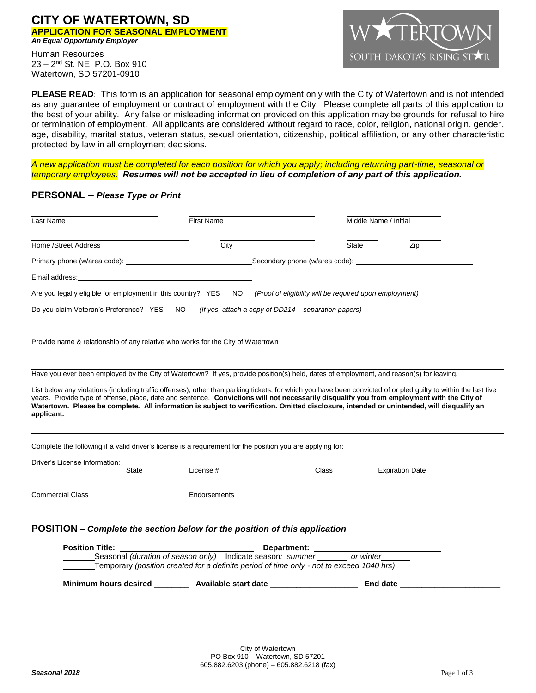### **CITY OF WATERTOWN, SD APPLICATION FOR SEASONAL EMPLOYMENT** *An Equal Opportunity Employer*

Human Resources 23 – 2 nd St. NE, P.O. Box 910 Watertown, SD 57201-0910



**PLEASE READ:** This form is an application for seasonal employment only with the City of Watertown and is not intended as any guarantee of employment or contract of employment with the City. Please complete all parts of this application to the best of your ability. Any false or misleading information provided on this application may be grounds for refusal to hire or termination of employment. All applicants are considered without regard to race, color, religion, national origin, gender, age, disability, marital status, veteran status, sexual orientation, citizenship, political affiliation, or any other characteristic protected by law in all employment decisions.

*A new application must be completed for each position for which you apply; including returning part-time, seasonal or temporary employees. Resumes will not be accepted in lieu of completion of any part of this application.* 

### **PERSONAL** *– Please Type or Print*

| City<br>Home /Street Address<br>Email address:<br><u> 1989 - John Stein, mars and de Brazilian (b. 1989)</u><br>Are you legally eligible for employment in this country? YES NO<br>NO .<br>Do you claim Veteran's Preference? YES<br>Provide name & relationship of any relative who works for the City of Watertown<br>Have you ever been employed by the City of Watertown? If yes, provide position(s) held, dates of employment, and reason(s) for leaving.<br>List below any violations (including traffic offenses), other than parking tickets, for which you have been convicted of or pled guilty to within the last five<br>years. Provide type of offense, place, date and sentence. Convictions will not necessarily disqualify you from employment with the City of<br>Watertown. Please be complete. All information is subject to verification. Omitted disclosure, intended or unintended, will disqualify an<br>applicant.<br>Complete the following if a valid driver's license is a requirement for the position you are applying for:<br>Driver's License Information:<br>License #<br><b>State</b><br><b>Commercial Class</b><br>Endorsements | Middle Name / Initial                                   |
|--------------------------------------------------------------------------------------------------------------------------------------------------------------------------------------------------------------------------------------------------------------------------------------------------------------------------------------------------------------------------------------------------------------------------------------------------------------------------------------------------------------------------------------------------------------------------------------------------------------------------------------------------------------------------------------------------------------------------------------------------------------------------------------------------------------------------------------------------------------------------------------------------------------------------------------------------------------------------------------------------------------------------------------------------------------------------------------------------------------------------------------------------------------------|---------------------------------------------------------|
|                                                                                                                                                                                                                                                                                                                                                                                                                                                                                                                                                                                                                                                                                                                                                                                                                                                                                                                                                                                                                                                                                                                                                                    | <b>State</b><br>Zip                                     |
|                                                                                                                                                                                                                                                                                                                                                                                                                                                                                                                                                                                                                                                                                                                                                                                                                                                                                                                                                                                                                                                                                                                                                                    |                                                         |
|                                                                                                                                                                                                                                                                                                                                                                                                                                                                                                                                                                                                                                                                                                                                                                                                                                                                                                                                                                                                                                                                                                                                                                    |                                                         |
|                                                                                                                                                                                                                                                                                                                                                                                                                                                                                                                                                                                                                                                                                                                                                                                                                                                                                                                                                                                                                                                                                                                                                                    | (Proof of eligibility will be reguired upon employment) |
|                                                                                                                                                                                                                                                                                                                                                                                                                                                                                                                                                                                                                                                                                                                                                                                                                                                                                                                                                                                                                                                                                                                                                                    | (If yes, attach a copy of DD214 – separation papers)    |
|                                                                                                                                                                                                                                                                                                                                                                                                                                                                                                                                                                                                                                                                                                                                                                                                                                                                                                                                                                                                                                                                                                                                                                    |                                                         |
|                                                                                                                                                                                                                                                                                                                                                                                                                                                                                                                                                                                                                                                                                                                                                                                                                                                                                                                                                                                                                                                                                                                                                                    |                                                         |
|                                                                                                                                                                                                                                                                                                                                                                                                                                                                                                                                                                                                                                                                                                                                                                                                                                                                                                                                                                                                                                                                                                                                                                    |                                                         |
|                                                                                                                                                                                                                                                                                                                                                                                                                                                                                                                                                                                                                                                                                                                                                                                                                                                                                                                                                                                                                                                                                                                                                                    |                                                         |
|                                                                                                                                                                                                                                                                                                                                                                                                                                                                                                                                                                                                                                                                                                                                                                                                                                                                                                                                                                                                                                                                                                                                                                    | Class<br><b>Expiration Date</b>                         |
|                                                                                                                                                                                                                                                                                                                                                                                                                                                                                                                                                                                                                                                                                                                                                                                                                                                                                                                                                                                                                                                                                                                                                                    |                                                         |
| POSITION – Complete the section below for the position of this application                                                                                                                                                                                                                                                                                                                                                                                                                                                                                                                                                                                                                                                                                                                                                                                                                                                                                                                                                                                                                                                                                         |                                                         |
| <b>Position Title:</b>                                                                                                                                                                                                                                                                                                                                                                                                                                                                                                                                                                                                                                                                                                                                                                                                                                                                                                                                                                                                                                                                                                                                             |                                                         |

Temporary *(position created for a definite period of time only - not to exceed 1040 hrs)*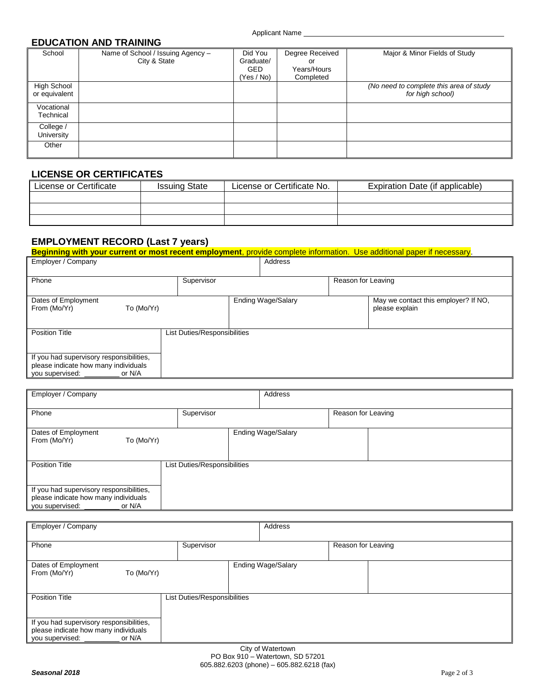## **EDUCATION AND TRAINING**

| School             | Name of School / Issuing Agency - | Did You    | Degree Received | Major & Minor Fields of Study           |
|--------------------|-----------------------------------|------------|-----------------|-----------------------------------------|
|                    | City & State                      | Graduate/  | or              |                                         |
|                    |                                   | <b>GED</b> | Years/Hours     |                                         |
|                    |                                   | (Yes / No) | Completed       |                                         |
| <b>High School</b> |                                   |            |                 | (No need to complete this area of study |
| or equivalent      |                                   |            |                 | for high school)                        |
|                    |                                   |            |                 |                                         |
| Vocational         |                                   |            |                 |                                         |
| Technical          |                                   |            |                 |                                         |
| College /          |                                   |            |                 |                                         |
| University         |                                   |            |                 |                                         |
| Other              |                                   |            |                 |                                         |
|                    |                                   |            |                 |                                         |
|                    |                                   |            |                 |                                         |

# **LICENSE OR CERTIFICATES**

| License or Certificate | <b>Issuing State</b> | License or Certificate No. | Expiration Date (if applicable) |
|------------------------|----------------------|----------------------------|---------------------------------|
|                        |                      |                            |                                 |
|                        |                      |                            |                                 |
|                        |                      |                            |                                 |

# **EMPLOYMENT RECORD (Last 7 years)**

| Beginning with your current or most recent employment, provide complete information. Use additional paper if necessary. |                              |                    |  |                                      |
|-------------------------------------------------------------------------------------------------------------------------|------------------------------|--------------------|--|--------------------------------------|
| Employer / Company                                                                                                      |                              | Address            |  |                                      |
|                                                                                                                         |                              |                    |  |                                      |
| Phone<br>Supervisor                                                                                                     |                              | Reason for Leaving |  |                                      |
|                                                                                                                         |                              |                    |  |                                      |
| Dates of Employment                                                                                                     |                              | Ending Wage/Salary |  | May we contact this employer? If NO. |
| From (Mo/Yr)<br>To (Mo/Yr)                                                                                              |                              |                    |  | please explain                       |
|                                                                                                                         |                              |                    |  |                                      |
| <b>Position Title</b>                                                                                                   | List Duties/Responsibilities |                    |  |                                      |
|                                                                                                                         |                              |                    |  |                                      |
| If you had supervisory responsibilities,                                                                                |                              |                    |  |                                      |
| please indicate how many individuals                                                                                    |                              |                    |  |                                      |
| you supervised:<br>or N/A                                                                                               |                              |                    |  |                                      |

| Employer / Company                                                                                            |                              | Address                   |                    |
|---------------------------------------------------------------------------------------------------------------|------------------------------|---------------------------|--------------------|
| Phone                                                                                                         | Supervisor                   |                           | Reason for Leaving |
| Dates of Employment<br>From (Mo/Yr)<br>To (Mo/Yr)                                                             |                              | <b>Ending Wage/Salary</b> |                    |
| <b>Position Title</b>                                                                                         | List Duties/Responsibilities |                           |                    |
| If you had supervisory responsibilities,<br>please indicate how many individuals<br>you supervised:<br>or N/A |                              |                           |                    |

| Employer / Company                                                                                            |                              | Address                   |                    |
|---------------------------------------------------------------------------------------------------------------|------------------------------|---------------------------|--------------------|
| Phone                                                                                                         | Supervisor                   |                           | Reason for Leaving |
| Dates of Employment<br>From (Mo/Yr)<br>To (Mo/Yr)                                                             |                              | <b>Ending Wage/Salary</b> |                    |
| <b>Position Title</b>                                                                                         | List Duties/Responsibilities |                           |                    |
| If you had supervisory responsibilities,<br>please indicate how many individuals<br>you supervised:<br>or N/A |                              |                           |                    |
| City of Watertown                                                                                             |                              |                           |                    |